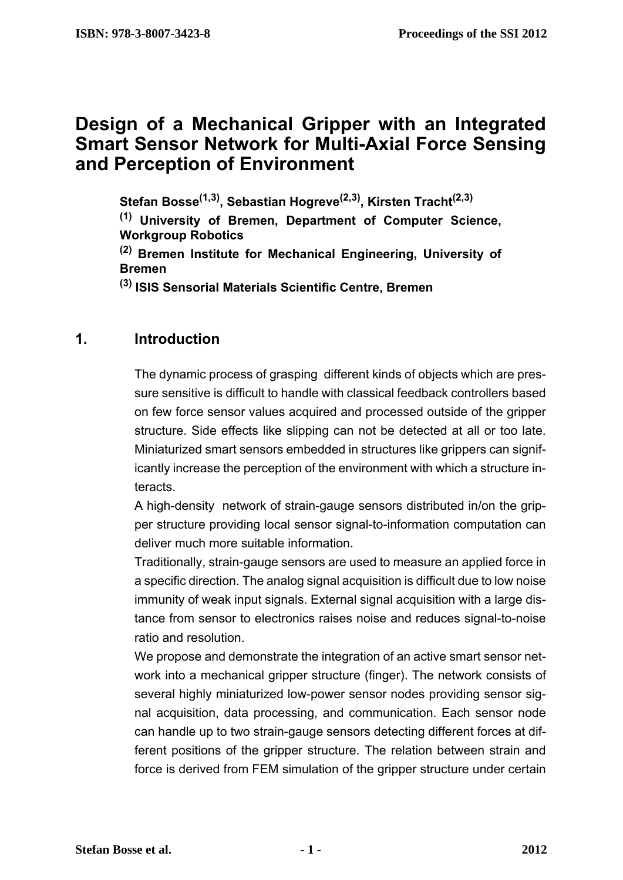# **Design of a Mechanical Gripper with an Integrated Smart Sensor Network for Multi-Axial Force Sensing and Perception of Environment**

**Stefan Bosse(1,3), Sebastian Hogreve(2,3), Kirsten Tracht(2,3)**

**(1) University of Bremen, Department of Computer Science, Workgroup Robotics**

**(2) Bremen Institute for Mechanical Engineering, University of Bremen**

**(3) ISIS Sensorial Materials Scientific Centre, Bremen**

### **1. Introduction**

The dynamic process of grasping different kinds of objects which are pressure sensitive is difficult to handle with classical feedback controllers based on few force sensor values acquired and processed outside of the gripper structure. Side effects like slipping can not be detected at all or too late. Miniaturized smart sensors embedded in structures like grippers can significantly increase the perception of the environment with which a structure interacts.

A high-density network of strain-gauge sensors distributed in/on the gripper structure providing local sensor signal-to-information computation can deliver much more suitable information.

Traditionally, strain-gauge sensors are used to measure an applied force in a specific direction. The analog signal acquisition is difficult due to low noise immunity of weak input signals. External signal acquisition with a large distance from sensor to electronics raises noise and reduces signal-to-noise ratio and resolution.

We propose and demonstrate the integration of an active smart sensor network into a mechanical gripper structure (finger). The network consists of several highly miniaturized low-power sensor nodes providing sensor signal acquisition, data processing, and communication. Each sensor node can handle up to two strain-gauge sensors detecting different forces at different positions of the gripper structure. The relation between strain and force is derived from FEM simulation of the gripper structure under certain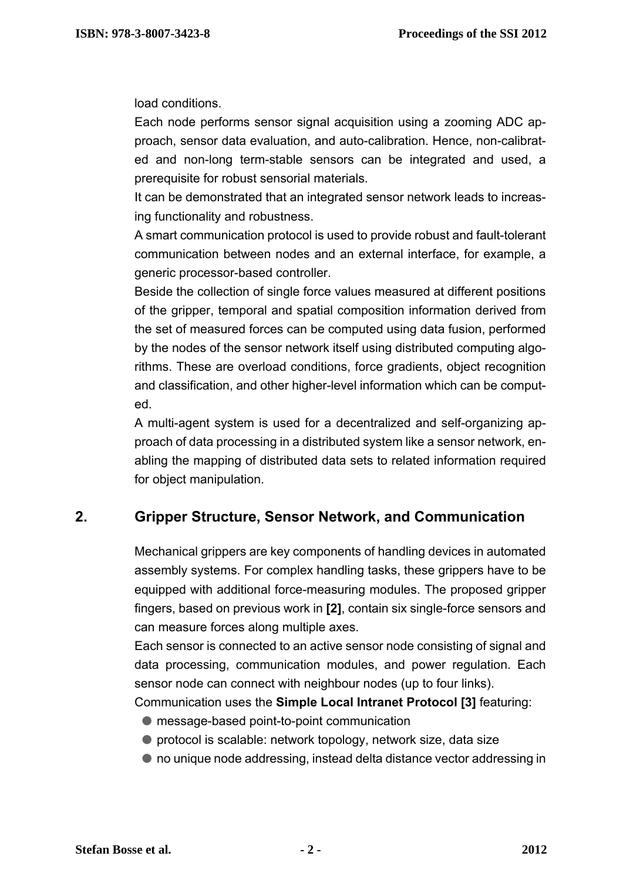load conditions.

Each node performs sensor signal acquisition using a zooming ADC approach, sensor data evaluation, and auto-calibration. Hence, non-calibrated and non-long term-stable sensors can be integrated and used, a prerequisite for robust sensorial materials.

It can be demonstrated that an integrated sensor network leads to increasing functionality and robustness.

A smart communication protocol is used to provide robust and fault-tolerant communication between nodes and an external interface, for example, a generic processor-based controller.

Beside the collection of single force values measured at different positions of the gripper, temporal and spatial composition information derived from the set of measured forces can be computed using data fusion, performed by the nodes of the sensor network itself using distributed computing algorithms. These are overload conditions, force gradients, object recognition and classification, and other higher-level information which can be computed.

A multi-agent system is used for a decentralized and self-organizing approach of data processing in a distributed system like a sensor network, enabling the mapping of distributed data sets to related information required for object manipulation.

# **2. Gripper Structure, Sensor Network, and Communication**

Mechanical grippers are key components of handling devices in automated assembly systems. For complex handling tasks, these grippers have to be equipped with additional force-measuring modules. The proposed gripper fingers, based on previous work in **[\[2\]](#page-4-0)**, contain six single-force sensors and can measure forces along multiple axes.

Each sensor is connected to an active sensor node consisting of signal and data processing, communication modules, and power regulation. Each sensor node can connect with neighbour nodes (up to four links).

Communication uses the **Simple Local Intranet Protocol [\[3\]](#page-4-1)** featuring:

- l message-based point-to-point communication
- $\bullet$  protocol is scalable: network topology, network size, data size
- $\bullet$  no unique node addressing, instead delta distance vector addressing in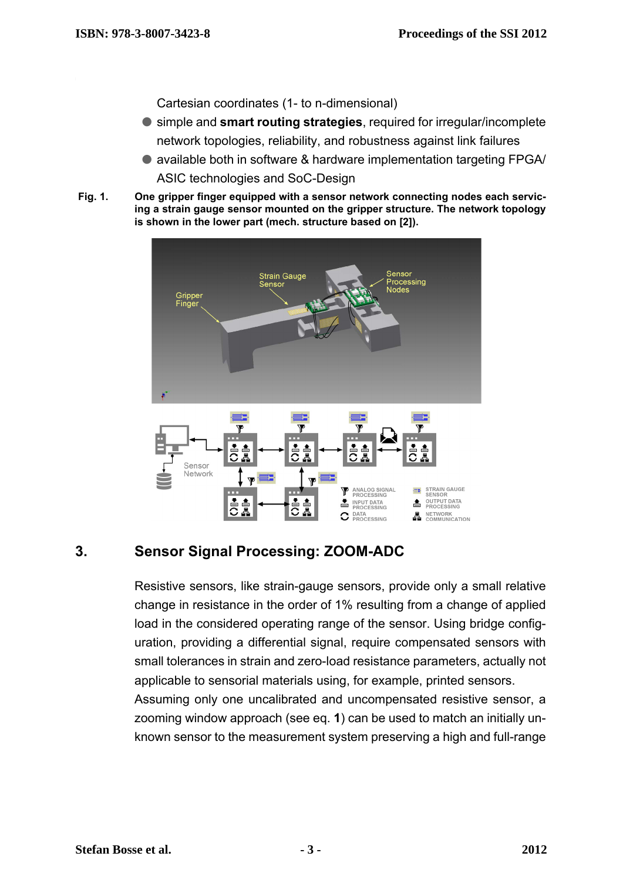Cartesian coordinates (1- to n-dimensional)

- **C** simple and **smart routing strategies**, required for irregular/incomplete network topologies, reliability, and robustness against link failures
- available both in software & hardware implementation targeting FPGA/ ASIC technologies and SoC-Design
- **Fig. 1. One gripper finger equipped with a sensor network connecting nodes each servicing a strain gauge sensor mounted on the gripper structure. The network topology is shown in the lower part (mech. structure based on [\[2\]](#page-4-0)).**



# **3. Sensor Signal Processing: ZOOM-ADC**

Resistive sensors, like strain-gauge sensors, provide only a small relative change in resistance in the order of 1% resulting from a change of applied load in the considered operating range of the sensor. Using bridge configuration, providing a differential signal, require compensated sensors with small tolerances in strain and zero-load resistance parameters, actually not applicable to sensorial materials using, for example, printed sensors.

Assuming only one uncalibrated and uncompensated resistive sensor, a zooming window approach (see eq. **[1](#page-3-0)**) can be used to match an initially unknown sensor to the measurement system preserving a high and full-range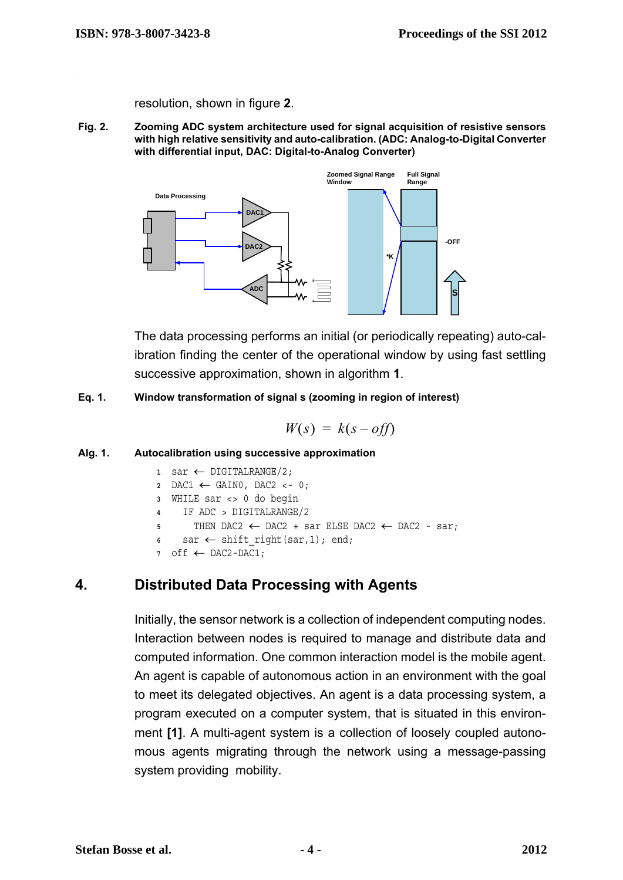resolution, shown in figure **[2](#page-3-1)**.

<span id="page-3-1"></span> **Fig. 2. Zooming ADC system architecture used for signal acquisition of resistive sensors with high relative sensitivity and auto-calibration. (ADC: Analog-to-Digital Converter with differential input, DAC: Digital-to-Analog Converter)**



The data processing performs an initial (or periodically repeating) auto-calibration finding the center of the operational window by using fast settling successive approximation, shown in algorithm **[1](#page-3-2)**.

<span id="page-3-0"></span> **Eq. 1. Window transformation of signal s (zooming in region of interest)**

$$
W(s) = k(s - off)
$$

#### <span id="page-3-2"></span> **Alg. 1. Autocalibration using successive approximation**

| $1$ sar $\leftarrow$ DIGITALRANGE/2;                                           |
|--------------------------------------------------------------------------------|
| $2\quad\text{DAC1}\leftarrow\text{GAIN0},\text{DAC2}\leftarrow 0;$             |
| 3 WHILE sar <> 0 do begin                                                      |
| 4 IF ADC > DIGITALRANGE/2                                                      |
| $5$ THEN DAC2 $\leftarrow$ DAC2 + sar ELSE DAC2 $\leftarrow$ DAC2 - sar;       |
| $s \quad \text{sar} \leftarrow \text{shift right}(\text{sar}, 1); \text{end};$ |
| off $\leftarrow$ DAC2-DAC1;                                                    |

#### **4. Distributed Data Processing with Agents**

Initially, the sensor network is a collection of independent computing nodes. Interaction between nodes is required to manage and distribute data and computed information. One common interaction model is the mobile agent. An agent is capable of autonomous action in an environment with the goal to meet its delegated objectives. An agent is a data processing system, a program executed on a computer system, that is situated in this environment **[\[1\]](#page-4-2)**. A multi-agent system is a collection of loosely coupled autonomous agents migrating through the network using a message-passing system providing mobility.